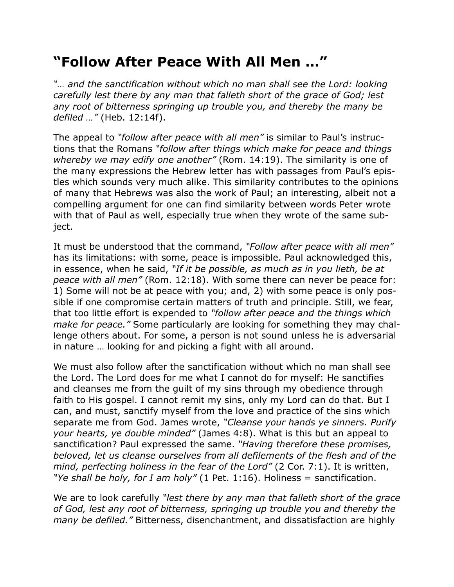## **"Follow After Peace With All Men …"**

*"… and the sanctification without which no man shall see the Lord: looking carefully lest there by any man that falleth short of the grace of God; lest any root of bitterness springing up trouble you, and thereby the many be defiled …"* (Heb. 12:14f).

The appeal to *"follow after peace with all men"* is similar to Paul's instructions that the Romans *"follow after things which make for peace and things whereby we may edify one another"* (Rom. 14:19). The similarity is one of the many expressions the Hebrew letter has with passages from Paul's epistles which sounds very much alike. This similarity contributes to the opinions of many that Hebrews was also the work of Paul; an interesting, albeit not a compelling argument for one can find similarity between words Peter wrote with that of Paul as well, especially true when they wrote of the same subject.

It must be understood that the command, *"Follow after peace with all men"* has its limitations: with some, peace is impossible. Paul acknowledged this, in essence, when he said, *"If it be possible, as much as in you lieth, be at peace with all men"* (Rom. 12:18). With some there can never be peace for: 1) Some will not be at peace with you; and, 2) with some peace is only possible if one compromise certain matters of truth and principle. Still, we fear, that too little effort is expended to *"follow after peace and the things which make for peace."* Some particularly are looking for something they may challenge others about. For some, a person is not sound unless he is adversarial in nature … looking for and picking a fight with all around.

We must also follow after the sanctification without which no man shall see the Lord. The Lord does for me what I cannot do for myself: He sanctifies and cleanses me from the guilt of my sins through my obedience through faith to His gospel. I cannot remit my sins, only my Lord can do that. But I can, and must, sanctify myself from the love and practice of the sins which separate me from God. James wrote, *"Cleanse your hands ye sinners. Purify your hearts, ye double minded"* (James 4:8). What is this but an appeal to sanctification? Paul expressed the same. *"Having therefore these promises, beloved, let us cleanse ourselves from all defilements of the flesh and of the mind, perfecting holiness in the fear of the Lord"* (2 Cor. 7:1). It is written, *"Ye shall be holy, for I am holy"* (1 Pet. 1:16). Holiness = sanctification.

We are to look carefully *"lest there by any man that falleth short of the grace of God, lest any root of bitterness, springing up trouble you and thereby the many be defiled."* Bitterness, disenchantment, and dissatisfaction are highly